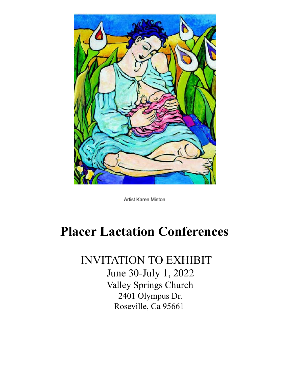

Artist Karen Minton

## **Placer Lactation Conferences**

INVITATION TO EXHIBIT June 30-July 1, 2022 Valley Springs Church 2401 Olympus Dr. Roseville, Ca 95661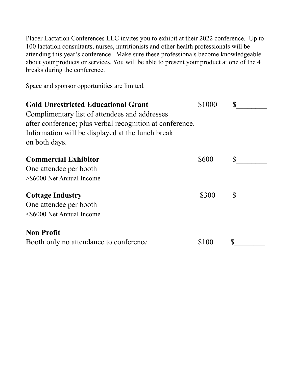Placer Lactation Conferences LLC invites you to exhibit at their 2022 conference. Up to 100 lactation consultants, nurses, nutritionists and other health professionals will be attending this year's conference. Make sure these professionals become knowledgeable about your products or services. You will be able to present your product at one of the 4 breaks during the conference.

Space and sponsor opportunities are limited.

| <b>Gold Unrestricted Educational Grant</b><br>Complimentary list of attendees and addresses<br>after conference; plus verbal recognition at conference.<br>Information will be displayed at the lunch break<br>on both days. | \$1000 |     |
|------------------------------------------------------------------------------------------------------------------------------------------------------------------------------------------------------------------------------|--------|-----|
| <b>Commercial Exhibitor</b><br>One attendee per booth<br>>\$6000 Net Annual Income                                                                                                                                           | \$600  | S.  |
| <b>Cottage Industry</b><br>One attendee per booth<br><\$6000 Net Annual Income                                                                                                                                               | \$300  | \$. |
| <b>Non Profit</b><br>Booth only no attendance to conference                                                                                                                                                                  | \$100  |     |